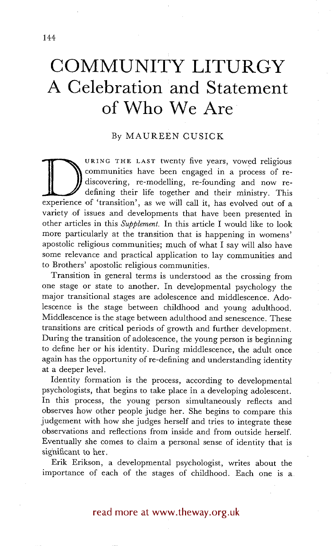## **COMMUNITY LITURGY A Celebration and Statement of Who We Are**

## By MAUREEN CUSICK

carrie have been engaged in a process of re-<br>discovering, re-modelling, re-founding and now re-<br>defining their life together and their ministry. This<br>experience of 'transition', as we will call it, has evolved out of a URING THE LAST twenty five years, vowed religious communities have been engaged in a process of rediscovering, re-modelling, re-founding and now redefining their life together and their ministry. This variety of issues and developments that have been presented in other articles in this *Supplement.* In this article I would like to look more particularly at the transition that is happening in womens' apostolic religious communities; much of what I say will also have some relevance and practical application to lay communities and to Brothers' apostolic religious communities.

Transition in general terms is understood as the crossing from one stage or state to another. In developmental psychology the major transitional stages are adolescence and middlescence. Adolescence is the stage between childhood and young adulthood. Middlescence is the stage between adulthood and senescence. These transitions are critical periods of growth and further development. During the transition of adolescence, the young person is beginning to define her or his identity. During middlescence, the adult once again has the opportunity of re-defining and understanding identity at a deeper level.

Identity formation is the process, according to developmental psychologists, that begins to take place in a developing adolescent. In this process, the young person simultaneously reflects and observes how other people judge her. She begins to compare this judgement with how she judges herself and tries to integrate these observations and reflections from inside and from outside herself. Eventually she comes to Claim a personal sense of identity that is significant to her.

Erik Erikson, a developmental psychologist, writes about the importance of each of the stages of childhood. Each one is a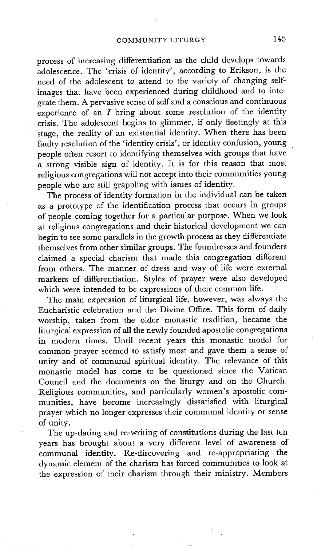process of increasing differentiation as the child develops towards adolescence. The 'crisis of identity', according to Erikson, is the need of the adolescent to attend to the variety of changing selfimages that have been experienced during childhood and to integrate them. A pervasive sense of self and a conscious and continuous experience of an  $I$  bring about some resolution of the identity crisis. The adolescent begins to glimmer, if only fleetingly at this stage, the reality of an existential identity. When there has been faulty resolution of the 'identity crisis', or identity confusion, young people often resort to identifying themselves with groups that have a strong visible sign of identity. It is for this reason that most religious congregations will not accept into their communities young people who are still grappling with issues of identity.

The process of identity formation in the individual can be taken as a prototype of the identification process that occurs in groups of people coming together for a particular purpose. When we look at religious congregations and their historical development we can begin to see some parallels in the growth process as they differentiate themselves from other similar groups. The foundresses and founders claimed a special charism that made this congregation different from others. The manner of dress and way of life were external markers of differentiation. Styles of prayer were also developed which were intended to be expressions of their common life.

The main expression of liturgical life, however, was always the Eucharistic celebration and the Divine Office. This form of daily worship, taken from the older monastic tradition, became the liturgical expression of all the newly founded apostolic congregations in modern times. Until recent years this monastic model for common prayer seemed to satisfy most and gave them a sense of unity and of communal spiritual identity. The relevance of this monastic model has come to be questioned since the Vatican Council and the documents on the liturgy and on the Church. Religious communities, and particularly women's apostolic communities, have become increasingly dissatisfied with liturgical prayer which no longer expresses their communal identity or sense of unity.

The up-dating and re-writing of constitutions during the last ten years has brought about a very different level of awareness of communal identity. Re-discovering and re-appropriating the dynamic element of the charism has forced communities to look at the expression of their charism through their ministry. Members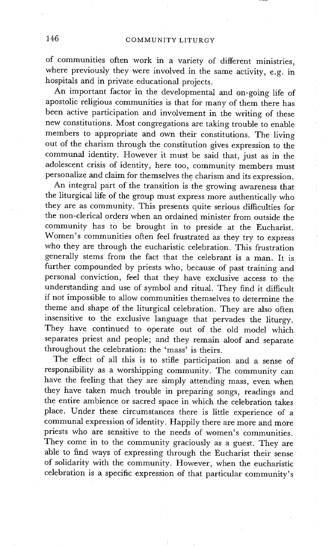of communities often work in a variety of different ministries, where previously they were involved in the same activity, e.g. in hospitals and in private educational projects.

An important factor in the developmental and on-going life of apostolic religious communities is that for many of them there has been active participation and involvement in the writing of these new constitutions. Most congregations are taking trouble to enable members to appropriate and own their constitutions. The living out of the charism through the constitution gives expression to the communal identity. However it must be said that, just as in the adolescent crisis of identity, here too, community members must personalize and claim for themselves the charism and its expression.

÷.

An integral part of the transition is the growing awareness that the liturgical life of the group must express more authentically who they are as community. This presents quite serious difficulties for the non-clerical orders when an ordained minister from outside the community has to be brought in to preside at the Eucharist. Women's communities often feel frustrated as they try to express who they are through the eucharistic celebration. This frustration generally stems from the fact that the celebrant is a man. It is further compounded by priests who, because of past training and personal conviction, feel that they have exclusive access to the understanding and use of symbol and ritual. They find it difficult if not impossible to allow communities themselves to determine the theme and shape of the liturgical celebration. They are also often insensitive to the exclusive language that pervades the liturgy. They have continued to operate out of the old model which separates priest and people; and they remain aloof and separate throughout the celebration: the 'mass' is theirs.

The effect of all this is to stifle participation and a sense of responsibility as a worshipping community. The community can have the feeling that they are simply attending mass, even when they have taken much trouble in preparing songs, readings and the entire ambience or sacred space in which the celebration takes place. Under these circumstances there is little experience of a communal expression of identity. Happily there are more and more priests who are sensitive to the needs of women's communities. They come in to the community graciously as a guest. They are able to find ways of expressing through the Eucharist their sense of solidarity with the community. However, when the eucharistic celebration is a specific expression of that particular community's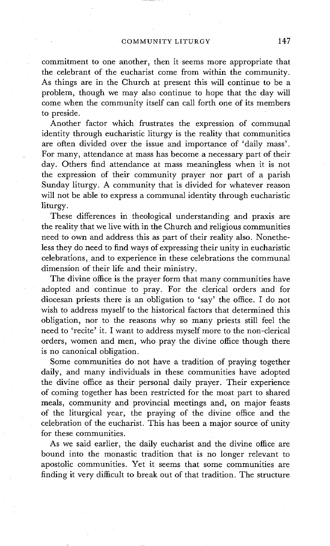commitment to one another, then it seems more appropriate that the celebrant of the eucharist come from within the community. As things are in the Church at present this will continue to be a problem, though we may also continue to hope that the day will come when the community itself can call forth one of its members to preside.

Another factor which frustrates the expression of communal identity through eucharistic liturgy is the reality that communities are often divided over the issue and importance of 'daily mass'. For many, attendance at mass has become a necessary part of their day. Others find attendance at mass meaningless when it is not the expression of their community prayer nor part of a parish Sunday liturgy. A community that is divided for whatever reason will not be able to express a communal identity through eucharistic liturgy.

These differences in theological understanding and praxis are the reality that we live with in the Church and religious communities need to own and address this as part of their reality also. Nonetheless they do need to find ways of expressing their unity in eucharistic celebrations, and to experience in these celebrations the communal dimension of their life and their ministry.

The divine office is the prayer form that many communities have adopted and continue to pray. For the clerical orders and for diocesan priests there is an obligation to 'say' the office. I do not wish to address myself to the historical factors that determined this obligation, nor to the reasons why so many priests still feel the need to 'recite' it. I want to address myself more to the non-clerical orders, women and men, who pray the divine office though there is no canonical obligation.

Some communities do not have a tradition of praying together daily, and many individuals in these communities have adopted the divine office as their personal daily prayer. Their experience of coming together has been restricted for the most part to shared meals, community and provincial meetings and, on major feasts of the liturgical year, the praying of the divine office and the celebration of the eucharist. This has been a major source of unity for these communities.

As we said earlier, the daily eucharist and the divine office are bound into the monastic tradition that is no longer relevant to apostolic communities. Yet it seems that some communities are finding it very difficult to break out of that tradition. The structure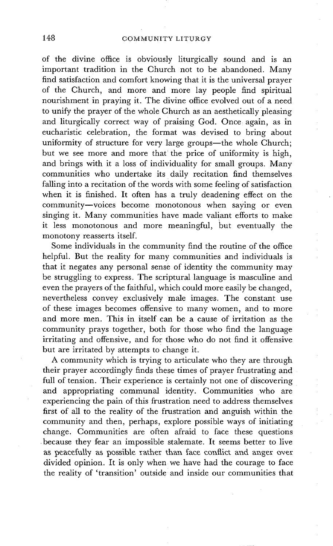of the divine office is obviously liturgically sound and is an important tradition in the Church not to be abandoned. Many find satisfaction and comfort knowing that it is the universal prayer of the Church, and more and more lay people find spiritual nourishment in praying it. The divine office evolved out of a need to unify the prayer of the whole Church as an aesthetically pleasing and liturgically correct way of praising God. Once, again, as in eucharistic celebration, the format was devised to bring about uniformity of structure for very large groups—the whole  $\tilde{C}$ hurch; but we see more and more that the price of uniformity is high, and brings with it a loss of individuality for small groups. Many communities who undertake its daily recitation find themselves falling into a recitation of the words with some feeling of satisfaction when it is finished. It often has a truly deadening effect on the community--voices become monotonous when saying or even singing it. Many communities have made valiant efforts to make it less monotonous and more meaningful, but eventually the monotony reasserts itself.

Some individuals in the community find the routine of the office helpful. But the reality for many communities and individuals is that it negates any personal sense of identity the community may be struggling to express. The scriptural language is masculine and even the prayers of the faithful, which could more easily be changed, nevertheless convey exclusively male images. The constant use of these images becomes offensive to many women, and to more and more men. This in itself can be a cause of irritation as the community prays together, both for those who find the language irritating and offensive, and for those who do not find it offensive but are irritated by attempts to change it.

A community which is trying to articulate who they are through their prayer accordingly finds these times of prayer frustrating and full of tension. Their experience is certainly not one of discovering and appropriating communal identity. Communities who are experiencing the pain of this frustration need to address themselves first of all to the reality of the frustration and anguish within the community and then, perhaps, explore possible ways of initiating change. Communities are often afraid to face these questions because they fear an impossible stalemate. It seems better to live as peacefully as possible rather than face conflict and anger over divided opinion. It is only when we have had the courage to face the reality of 'transition' outside: and inside our communities that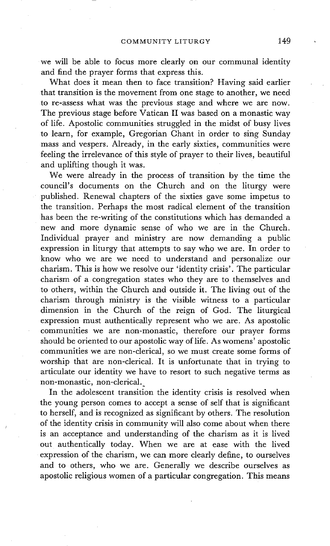we will be able to focus more clearly on our communal identity and find the prayer forms that express this.

What does it mean then to face transition? Having said earlier that transition is the movement from one stage to another, we need to re-assess what was the previous stage and where we are now. The previous stage before Vatican II was based on a monastic way of life. Apostolic communities struggled in the midst of busy lives to learn, for example, Gregorian Chant in order to sing Sunday mass and vespers. Already, in the early sixties, communities were feeling the irrelevance of this style of prayer to their lives, beautiful and uplifting though it was.

We were already in the process of transition by the time the council's documents on the Church and on the liturgy were published. Renewal chapters of the sixties gave some impetus to the transition. Perhaps the most radical element of the transition has been the re-writing of the constitutions which has demanded a new and more dynamic sense of who we are in the Church. Individual prayer and ministry are now demanding a public expression in liturgy that attempts to say who we are. In order to know who we are we need to understand and personalize our charism. This is how we resolve our 'identity crisis'. The particular charism of a congregation states who they are to themselves and to others, within the Church and outside it. The living out of the charism through ministry is the visible witness to a particular dimension in the Church of the reign of God. The liturgical expression must authentically represent who we are. As apostolic communities we are non-monastic, therefore our prayer forms should be oriented to our apostolic way of life. As womens' apostolic communities we are non-clerical, so we must create some forms of worship that are non-clerical. It is unfortunate that in trying to articulate our identity we have to resort to such negative terms as non-monastic, non-clerical.

In the adolescent transition the identity crisis is resolved when the young person comes to accept a sense of self that is significant to herself, and is recognized as significant by others. The resolution of the identity crisis in community will also come about when there is an acceptance and understanding of the charism as it is lived out authentically today. When we are at ease with the lived expression of the charism, we can more clearly define, to ourselves and to others, who we are. Generally we describe ourselves as apostolic religious women of a particular congregation. This means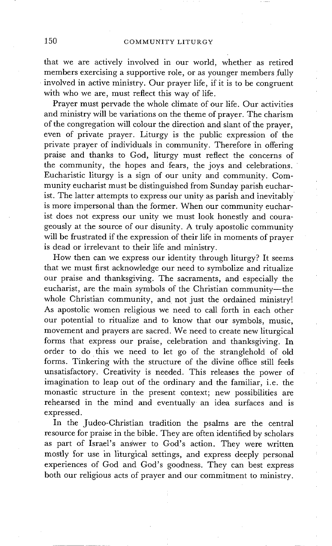## 150 COMMUNITY LITURGY

that we are actively involved in our world, whether as retired members exercising a supportive role, or as younger members fully involved in active ministry. Our prayer life, if it is to be congruent with who we are, must reflect this way of life.

Prayer must pervade the whole climate of our life. Our activities and ministry will be variations on the theme of prayer. The charism of the congregation will colour the direction and slant of the prayer, even of private prayer. Liturgy is the public expression of the private prayer of individuals in community. Therefore in offering praise and thanks to God, liturgy must reflect the concerns of the community, the hopes and fears, the joys and celebrations. Eucharistic liturgy is a sign of our unity and community. Community eucharist must be distinguished from Sunday parish eucharist. The latter attempts to express our unity as parish and inevitably' is more impersonal than the former. When our community eucharist does not express our unity we must look honestly and courageously at the source of our disunity. A truly apostolic community will be frustrated if the expression of their life in moments of prayer is dead or irrelevant to their life and ministry.

How then can we express our identity through liturgy? It seems that we must first acknowledge our need to symbolize and ritualize our praise and thanksgiving. The sacraments, and especially the eucharist, are the main symbols of the Christian community--the whole Christian community, and not just the ordained ministry! As apostolic women religious we need to call forth in each other our potential to ritualize and to know that our symbols, music, movement and prayers are sacred. We need to create new liturgical forms that express our praise, celebration and thanksgiving. In order to do this we need to let go of the stranglehold of old forms. Tinkering with the structure of the divine office still feels unsatisfactory. Creativity is needed. This releases the power of imagination to leap out of the ordinary and the familiar, i.e. the monastic structure in the present context; new possibilities are rehearsed in the mind and eventually an idea surfaces and is expressed.

In the Judeo-Christian tradition the psalms are the central resource for praise in the bible. They are often identified by scholars as part of Israel's answer to God's action. They were written mostly for use in liturgical settings, and express deeply personal experiences of God and God's goodness. They can best express both our religious acts of prayer and our commitment to ministry.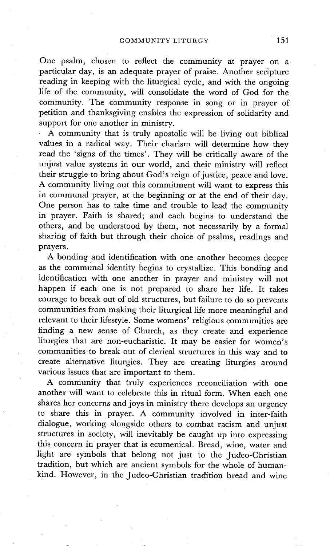One psalm, chosen to reflect the community at prayer on a particular day, is an adequate prayer of praise. Another scripture reading in keeping with the liturgical cycle, and with the ongoing life of the community, will consolidate the word of God for the community. The community response in song or in prayer of petition and thanksgiving enables the expression of solidarity and support for one another in ministry.

A community that is truly apostolic will be living out biblical values in a radical way. Their charism will determine how they read the 'signs of the times'. They will be critically aware of the unjust value systems in our world, and their ministry will reflect their struggle to bring about God's reign of justice, peace and love. A community living out this commitment will want to express this in communal prayer, at the beginning or at the end of their day. One person has to take time and trouble to lead the community in prayer. Faith is shared; and each begins to understand the others, and be understood by them, not necessarily by a formal sharing of faith but through their choice of psalms, readings and prayers.

A bonding and identification with one another becomes deeper as the communal identity begins to crystallize. This bonding and identification with one another in prayer and ministry will not happen if each one is not prepared to share her life. It takes courage to break out of old structures, but failure to do so prevents communities from making their liturgical life more meaningful and relevant to their lifestyle. Some womens' religious communities are finding a new sense of Church, as they create and experience liturgies that are non-eucharistic. It may be easier for women's communities to break out of clerical structures in this way and to create alternative liturgies. They are creating liturgies around various issues that are important to them.

A community that truly experiences reconciliation with one another will want to celebrate this in ritual form. When each one shares her concerns and joys in ministry there develops an urgency to share this in prayer. A community involved in inter-faith dialogue, working alongside others to combat racism and unjust structures in society, will inevitably be caught up into expressing this concern in prayer that is ecumenical. Bread, wine, water and light are symbols that belong not just to the Judeo-Ghristian tradition, but which are ancient symbols for the whole of humankind. However, in the Judeo-Christian tradition bread and wine